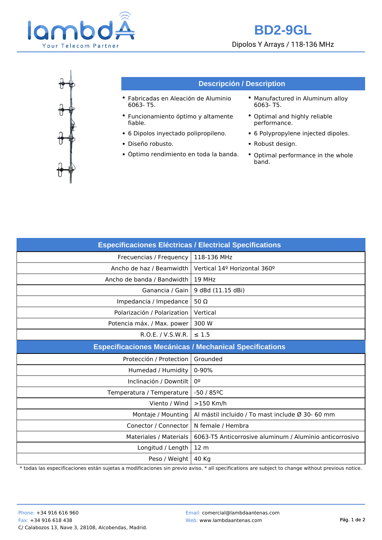

## **BD2-9GL** Dipolos Y Arrays / 118-136 MHz



## **Descripción / Description**

- Fabricadas en Aleación de Aluminio 6063- T5.
- Funcionamiento óptimo y altamente fiable.
- 6 Dipolos inyectado polipropileno. 6 Polypropylene injected dipoles.
- 
- Óptimo rendimiento en toda la banda. Optimal performance in the whole
- Manufactured in Aluminum alloy 6063- T5.
- Optimal and highly reliable performance.
- 
- Diseño robusto. **A contrary entity of the CO** robust design.
	- band.

| <b>Especificaciones Eléctricas / Electrical Specifications</b> |                                                         |
|----------------------------------------------------------------|---------------------------------------------------------|
| Frecuencias / Frequency                                        | 118-136 MHz                                             |
| Ancho de haz / Beamwidth                                       | Vertical 14 <sup>o</sup> Horizontal 360 <sup>o</sup>    |
| Ancho de banda / Bandwidth                                     | 19 MHz                                                  |
| Ganancia / Gain                                                | 9 dBd (11.15 dBi)                                       |
| Impedancia / Impedance                                         | 50 $\Omega$                                             |
| Polarización / Polarization                                    | Vertical                                                |
| Potencia máx. / Max. power                                     | 300 W                                                   |
| R.O.E. / V.S.W.R.                                              | $\leq 1.5$                                              |
| <b>Especificaciones Mecánicas / Mechanical Specifications</b>  |                                                         |
| Protección / Protection                                        | Grounded                                                |
| Humedad / Humidity                                             |                                                         |
|                                                                | $0 - 90%$                                               |
| Inclinación / Downtilt                                         | 0º                                                      |
| Temperatura / Temperature                                      | $-50/85$ <sup>o</sup> C                                 |
| Viento / Wind                                                  | $>150$ Km/h                                             |
| Montaje / Mounting                                             | Al mástil incluido / To mast include Ø 30- 60 mm        |
| Conector / Connector                                           | N female / Hembra                                       |
| <b>Materiales / Materials</b>                                  | 6063-T5 Anticorrosive aluminum / Aluminio anticorrosivo |
| Longitud / Length                                              | 12 m                                                    |

\* todas las especificaciones están sujetas a modificaciones sin previo aviso. \* all specifications are subject to change without previous notice.